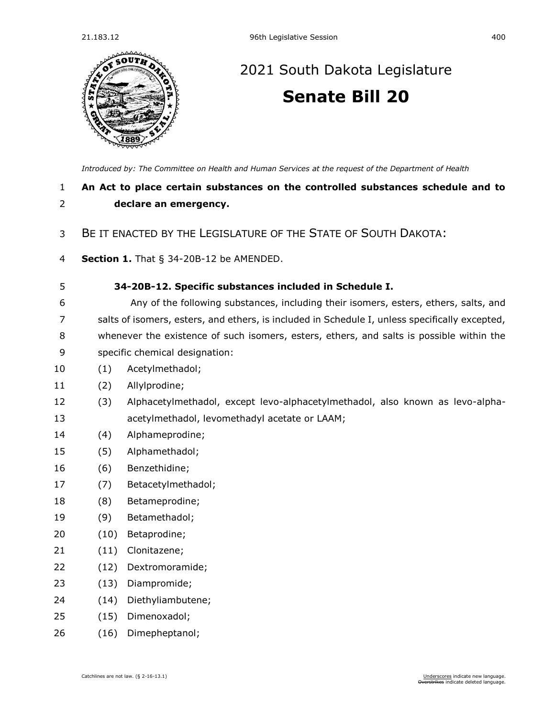

## [2021 South Dakota Legislature](https://sdlegislature.gov/Session/Bills/44) **[Senate Bill 20](https://sdlegislature.gov/Session/Bill/21902)**

*[Introduced by: The Committee on Health and Human Services](https://sdlegislature.gov/Session/Committee/508/Detail) at the request of the Department of Health*

## **An Act to place certain substances on the controlled substances schedule and to declare an emergency.**

## BE IT ENACTED BY THE LEGISLATURE OF THE STATE OF SOUTH DAKOTA:

- **Section 1.** [That § 34-20B-12 be AMENDED.](https://sdlegislature.gov/Statutes/Codified_Laws/DisplayStatute.aspx?Type=Statute&Statute=34-20B-12)
- **[34-20B-12. S](https://sdlegislature.gov/Statutes/Codified_Laws/DisplayStatute.aspx?Type=Statute&Statute=34-20B-12)pecific substances included in Schedule I.**
- Any of the following substances, including their isomers, esters, ethers, salts, and salts of isomers, esters, and ethers, is included in Schedule I, unless specifically excepted, whenever the existence of such isomers, esters, ethers, and salts is possible within the specific chemical designation:
- (1) Acetylmethadol;
- (2) Allylprodine;
- (3) Alphacetylmethadol, except levo-alphacetylmethadol, also known as levo-alpha-acetylmethadol, levomethadyl acetate or LAAM;
- (4) Alphameprodine;
- (5) Alphamethadol;
- (6) Benzethidine;
- (7) Betacetylmethadol;
- (8) Betameprodine;
- (9) Betamethadol;
- (10) Betaprodine;
- (11) Clonitazene;
- (12) Dextromoramide;
- (13) Diampromide;
- (14) Diethyliambutene;
- (15) Dimenoxadol;
- (16) Dimepheptanol;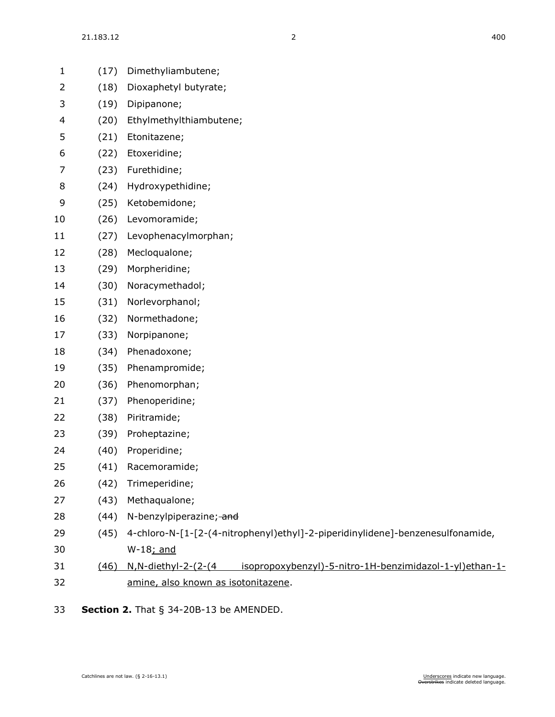| $\mathbf{1}$   | (17) | Dimethyliambutene;                                                                     |
|----------------|------|----------------------------------------------------------------------------------------|
| $\overline{2}$ | (18) | Dioxaphetyl butyrate;                                                                  |
| 3              | (19) | Dipipanone;                                                                            |
| 4              | (20) | Ethylmethylthiambutene;                                                                |
| 5              | (21) | Etonitazene;                                                                           |
| 6              | (22) | Etoxeridine;                                                                           |
| 7              | (23) | Furethidine;                                                                           |
| 8              | (24) | Hydroxypethidine;                                                                      |
| 9              | (25) | Ketobemidone;                                                                          |
| 10             | (26) | Levomoramide;                                                                          |
| 11             | (27) | Levophenacylmorphan;                                                                   |
| 12             | (28) | Mecloqualone;                                                                          |
| 13             | (29) | Morpheridine;                                                                          |
| 14             | (30) | Noracymethadol;                                                                        |
| 15             | (31) | Norlevorphanol;                                                                        |
| 16             | (32) | Normethadone;                                                                          |
| 17             | (33) | Norpipanone;                                                                           |
| 18             | (34) | Phenadoxone;                                                                           |
| 19             | (35) | Phenampromide;                                                                         |
| 20             | (36) | Phenomorphan;                                                                          |
| 21             | (37) | Phenoperidine;                                                                         |
| 22             | (38) | Piritramide;                                                                           |
| 23             | (39) | Proheptazine;                                                                          |
| 24             | (40) | Properidine;                                                                           |
| 25             | (41) | Racemoramide;                                                                          |
| 26             | (42) | Trimeperidine;                                                                         |
| 27             | (43) | Methaqualone;                                                                          |
| 28             | (44) | N-benzylpiperazine; and                                                                |
| 29             | (45) | 4-chloro-N-[1-[2-(4-nitrophenyl)ethyl]-2-piperidinylidene]-benzenesulfonamide,         |
| 30             |      | W-18; and                                                                              |
| 31             | (46) | isopropoxybenzyl)-5-nitro-1H-benzimidazol-1-yl)ethan-1-<br><u>N, N-diethyl-2-(2-(4</u> |
| 32             |      | amine, also known as isotonitazene.                                                    |

**Section 2.** [That § 34-20B-13 be AMENDED.](https://sdlegislature.gov/Statutes/Codified_Laws/DisplayStatute.aspx?Type=Statute&Statute=34-20B-13)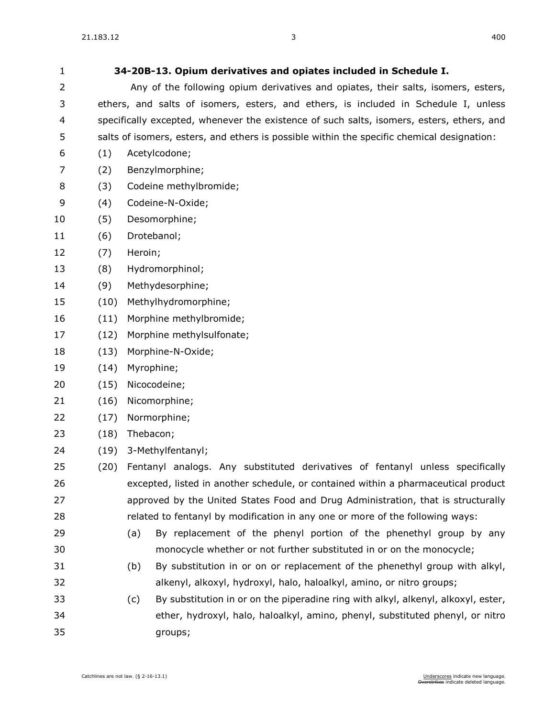| 1  |      | 34-20B-13. Opium derivatives and opiates included in Schedule I.                           |
|----|------|--------------------------------------------------------------------------------------------|
| 2  |      | Any of the following opium derivatives and opiates, their salts, isomers, esters,          |
| 3  |      | ethers, and salts of isomers, esters, and ethers, is included in Schedule I, unless        |
| 4  |      | specifically excepted, whenever the existence of such salts, isomers, esters, ethers, and  |
| 5  |      | salts of isomers, esters, and ethers is possible within the specific chemical designation: |
| 6  | (1)  | Acetylcodone;                                                                              |
| 7  | (2)  | Benzylmorphine;                                                                            |
| 8  | (3)  | Codeine methylbromide;                                                                     |
| 9  | (4)  | Codeine-N-Oxide;                                                                           |
| 10 | (5)  | Desomorphine;                                                                              |
| 11 | (6)  | Drotebanol;                                                                                |
| 12 | (7)  | Heroin;                                                                                    |
| 13 | (8)  | Hydromorphinol;                                                                            |
| 14 | (9)  | Methydesorphine;                                                                           |
| 15 | (10) | Methylhydromorphine;                                                                       |
| 16 | (11) | Morphine methylbromide;                                                                    |
| 17 | (12) | Morphine methylsulfonate;                                                                  |
| 18 | (13) | Morphine-N-Oxide;                                                                          |
| 19 | (14) | Myrophine;                                                                                 |
| 20 | (15) | Nicocodeine;                                                                               |
| 21 | (16) | Nicomorphine;                                                                              |
| 22 | (17) | Normorphine;                                                                               |
| 23 | (18) | Thebacon;                                                                                  |
| 24 | (19) | 3-Methylfentanyl;                                                                          |
| 25 | (20) | Fentanyl analogs. Any substituted derivatives of fentanyl unless specifically              |
| 26 |      | excepted, listed in another schedule, or contained within a pharmaceutical product         |
| 27 |      | approved by the United States Food and Drug Administration, that is structurally           |
| 28 |      | related to fentanyl by modification in any one or more of the following ways:              |
| 29 |      | By replacement of the phenyl portion of the phenethyl group by any<br>(a)                  |
| 30 |      | monocycle whether or not further substituted in or on the monocycle;                       |
| 31 |      | By substitution in or on or replacement of the phenethyl group with alkyl,<br>(b)          |
| 32 |      | alkenyl, alkoxyl, hydroxyl, halo, haloalkyl, amino, or nitro groups;                       |
| 33 |      | By substitution in or on the piperadine ring with alkyl, alkenyl, alkoxyl, ester,<br>(c)   |
|    |      |                                                                                            |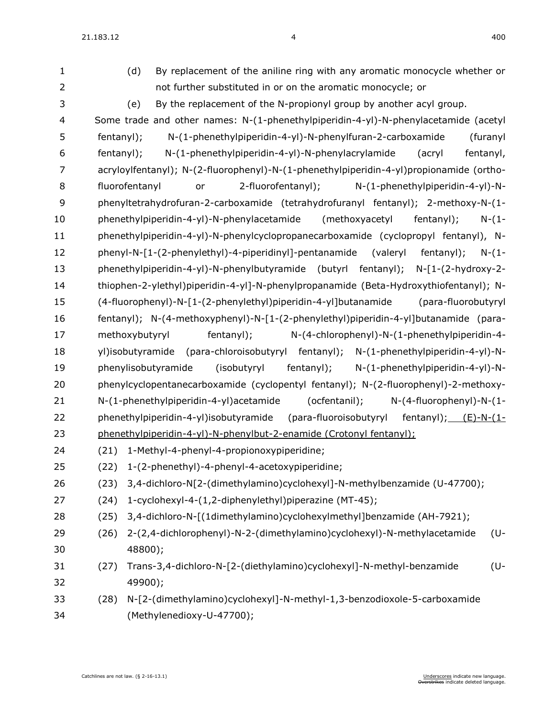$21.183.12$  4 400

(d) By replacement of the aniline ring with any aromatic monocycle whether or

not further substituted in or on the aromatic monocycle; or

| 3              | By the replacement of the N-propionyl group by another acyl group.<br>(e)                |
|----------------|------------------------------------------------------------------------------------------|
| $\overline{4}$ | Some trade and other names: N-(1-phenethylpiperidin-4-yl)-N-phenylacetamide (acetyl      |
| 5              | N-(1-phenethylpiperidin-4-yl)-N-phenylfuran-2-carboxamide<br>fentanyl);<br>(furanyl      |
| 6              | N-(1-phenethylpiperidin-4-yl)-N-phenylacrylamide<br>fentanyl,<br>fentanyl);<br>(acryl    |
| 7              | acryloylfentanyl); N-(2-fluorophenyl)-N-(1-phenethylpiperidin-4-yl)propionamide (ortho-  |
| $\, 8$         | 2-fluorofentanyl);<br>fluorofentanyl<br>N-(1-phenethylpiperidin-4-yl)-N-<br>or           |
| 9              | phenyltetrahydrofuran-2-carboxamide (tetrahydrofuranyl fentanyl); 2-methoxy-N-(1-        |
| 10             | phenethylpiperidin-4-yl)-N-phenylacetamide<br>(methoxyacetyl<br>fentanyl);<br>$N - (1 -$ |
| 11             | phenethylpiperidin-4-yl)-N-phenylcyclopropanecarboxamide (cyclopropyl fentanyl), N-      |
| 12             | phenyl-N-[1-(2-phenylethyl)-4-piperidinyl]-pentanamide (valeryl fentanyl);<br>$N - (1 -$ |
| 13             | phenethylpiperidin-4-yl)-N-phenylbutyramide (butyrl fentanyl); N-[1-(2-hydroxy-2-        |
| 14             | thiophen-2-ylethyl)piperidin-4-yl]-N-phenylpropanamide (Beta-Hydroxythiofentanyl); N-    |
| 15             | (4-fluorophenyl)-N-[1-(2-phenylethyl)piperidin-4-yl]butanamide<br>(para-fluorobutyryl    |
| 16             | fentanyl); N-(4-methoxyphenyl)-N-[1-(2-phenylethyl)piperidin-4-yl]butanamide (para-      |
| 17             | methoxybutyryl<br>fentanyl);<br>N-(4-chlorophenyl)-N-(1-phenethylpiperidin-4-            |
| 18             | yl)isobutyramide (para-chloroisobutyryl fentanyl); N-(1-phenethylpiperidin-4-yl)-N-      |
| 19             | phenylisobutyramide<br>(isobutyryl<br>fentanyl);<br>N-(1-phenethylpiperidin-4-yl)-N-     |
| 20             | phenylcyclopentanecarboxamide (cyclopentyl fentanyl); N-(2-fluorophenyl)-2-methoxy-      |
| 21             | N-(1-phenethylpiperidin-4-yl)acetamide<br>(ocfentanil);<br>$N-(4-fluoropheny) - N-(1-$   |
| 22             | phenethylpiperidin-4-yl)isobutyramide (para-fluoroisobutyryl fentanyl); $(E)-N-(1-$      |
| 23             | phenethylpiperidin-4-yl)-N-phenylbut-2-enamide (Crotonyl fentanyl);                      |
| 24             | 1-Methyl-4-phenyl-4-propionoxypiperidine;<br>(21)                                        |
| 25             | 1-(2-phenethyl)-4-phenyl-4-acetoxypiperidine;<br>(22)                                    |
| 26             | 3,4-dichloro-N[2-(dimethylamino)cyclohexyl]-N-methylbenzamide (U-47700);<br>(23)         |
| 27             | (24) 1-cyclohexyl-4-(1,2-diphenylethyl)piperazine (MT-45);                               |
| 28             | 3,4-dichloro-N-[(1dimethylamino)cyclohexylmethyl]benzamide (AH-7921);<br>(25)            |
| 29             | 2-(2,4-dichlorophenyl)-N-2-(dimethylamino)cyclohexyl)-N-methylacetamide<br>(U-<br>(26)   |
| 30             | 48800);                                                                                  |
| 31             | Trans-3,4-dichloro-N-[2-(diethylamino)cyclohexyl]-N-methyl-benzamide<br>(U-<br>(27)      |
| 32             | 49900);                                                                                  |
| 33             | N-[2-(dimethylamino)cyclohexyl]-N-methyl-1,3-benzodioxole-5-carboxamide<br>(28)          |
| 34             | (Methylenedioxy-U-47700);                                                                |

Catchlines are not law. (§ [2-16-13.1\)](https://sdlegislature.gov/Statutes/Codified_Laws/DisplayStatute.aspx?Type=Statute&Statute=2-16-13.1) Catchlines are not law. (§ 2-16-13.1) Catchlines are not law. (§ 2-16-13.1)<br>Catchlines are not law. (§ 2-16-13.1)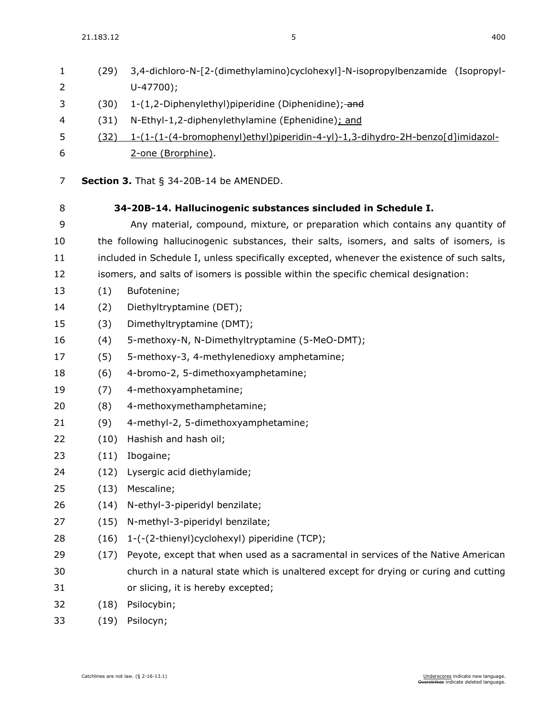$21.183.12$  400

| 1<br>2 | (29) | 3,4-dichloro-N-[2-(dimethylamino)cyclohexyl]-N-isopropylbenzamide (Isopropyl-<br>$U-47700$ ; |
|--------|------|----------------------------------------------------------------------------------------------|
| 3      | (30) | 1-(1,2-Diphenylethyl)piperidine (Diphenidine); and                                           |
| 4      | (31) | N-Ethyl-1,2-diphenylethylamine (Ephenidine); and                                             |
| 5      | (32) | 1-(1-(1-(4-bromophenyl)ethyl)piperidin-4-yl)-1,3-dihydro-2H-benzo[d]imidazol-                |
| 6      |      | 2-one (Brorphine).                                                                           |
|        |      |                                                                                              |
| 7      |      | Section 3. That $\S$ 34-20B-14 be AMENDED.                                                   |
| 8      |      | 34-20B-14. Hallucinogenic substances sincluded in Schedule I.                                |
| 9      |      | Any material, compound, mixture, or preparation which contains any quantity of               |
| 10     |      | the following hallucinogenic substances, their salts, isomers, and salts of isomers, is      |
| 11     |      | included in Schedule I, unless specifically excepted, whenever the existence of such salts,  |
| 12     |      | isomers, and salts of isomers is possible within the specific chemical designation:          |
| 13     | (1)  | Bufotenine;                                                                                  |
| 14     | (2)  | Diethyltryptamine (DET);                                                                     |
| 15     | (3)  | Dimethyltryptamine (DMT);                                                                    |
| 16     | (4)  | 5-methoxy-N, N-Dimethyltryptamine (5-MeO-DMT);                                               |
| 17     | (5)  | 5-methoxy-3, 4-methylenedioxy amphetamine;                                                   |
| 18     | (6)  | 4-bromo-2, 5-dimethoxyamphetamine;                                                           |
| 19     | (7)  | 4-methoxyamphetamine;                                                                        |
| 20     | (8)  | 4-methoxymethamphetamine;                                                                    |
| 21     | (9)  | 4-methyl-2, 5-dimethoxyamphetamine;                                                          |
| 22     | (10) | Hashish and hash oil;                                                                        |
| 23     | (11) | Ibogaine;                                                                                    |
| 24     | (12) | Lysergic acid diethylamide;                                                                  |
| 25     | (13) | Mescaline;                                                                                   |
| 26     | (14) | N-ethyl-3-piperidyl benzilate;                                                               |
| 27     | (15) | N-methyl-3-piperidyl benzilate;                                                              |
| 28     | (16) | 1-(-(2-thienyl)cyclohexyl) piperidine (TCP);                                                 |
| 29     | (17) | Peyote, except that when used as a sacramental in services of the Native American            |
| 30     |      | church in a natural state which is unaltered except for drying or curing and cutting         |
| 31     |      | or slicing, it is hereby excepted;                                                           |
| 32     | (18) | Psilocybin;                                                                                  |
| 33     | (19) | Psilocyn;                                                                                    |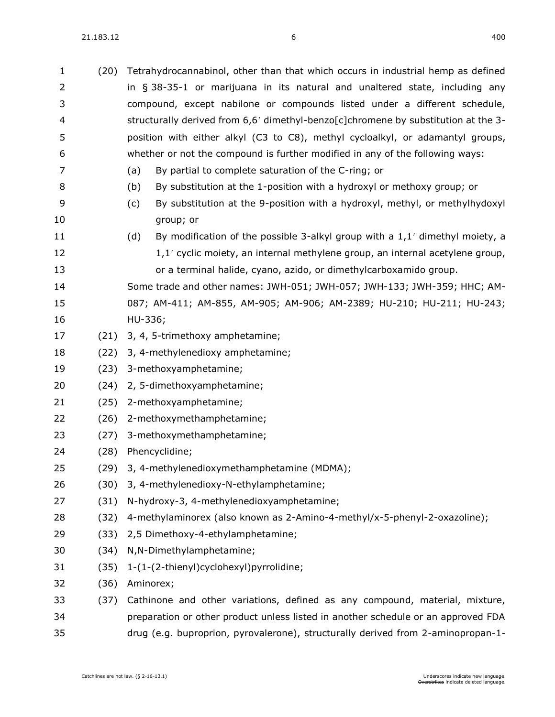| $\mathbf{1}$ | (20) | Tetrahydrocannabinol, other than that which occurs in industrial hemp as defined      |  |
|--------------|------|---------------------------------------------------------------------------------------|--|
| 2            |      | in § 38-35-1 or marijuana in its natural and unaltered state, including any           |  |
| 3            |      | compound, except nabilone or compounds listed under a different schedule,             |  |
| 4            |      | structurally derived from 6,6' dimethyl-benzo[c]chromene by substitution at the 3-    |  |
| 5            |      | position with either alkyl (C3 to C8), methyl cycloalkyl, or adamantyl groups,        |  |
| 6            |      | whether or not the compound is further modified in any of the following ways:         |  |
| 7            |      | By partial to complete saturation of the C-ring; or<br>(a)                            |  |
| 8            |      | By substitution at the 1-position with a hydroxyl or methoxy group; or<br>(b)         |  |
| 9            |      | By substitution at the 9-position with a hydroxyl, methyl, or methylhydoxyl<br>(c)    |  |
| 10           |      | group; or                                                                             |  |
| 11           |      | (d)<br>By modification of the possible 3-alkyl group with a $1,1'$ dimethyl moiety, a |  |
| 12           |      | 1,1' cyclic moiety, an internal methylene group, an internal acetylene group,         |  |
| 13           |      | or a terminal halide, cyano, azido, or dimethylcarboxamido group.                     |  |
| 14           |      | Some trade and other names: JWH-051; JWH-057; JWH-133; JWH-359; HHC; AM-              |  |
| 15           |      | 087; AM-411; AM-855, AM-905; AM-906; AM-2389; HU-210; HU-211; HU-243;                 |  |
| 16           |      | HU-336;                                                                               |  |
| 17           | (21) | 3, 4, 5-trimethoxy amphetamine;                                                       |  |
| 18           | (22) | 3, 4-methylenedioxy amphetamine;                                                      |  |
| 19           | (23) | 3-methoxyamphetamine;                                                                 |  |
| 20           | (24) | 2, 5-dimethoxyamphetamine;                                                            |  |
| 21           | (25) | 2-methoxyamphetamine;                                                                 |  |
| 22           | (26) | 2-methoxymethamphetamine;                                                             |  |
| 23           | (27) | 3-methoxymethamphetamine;                                                             |  |
| 24           | (28) | Phencyclidine;                                                                        |  |
| 25           |      | (29) 3, 4-methylenedioxymethamphetamine (MDMA);                                       |  |
| 26           | (30) | 3, 4-methylenedioxy-N-ethylamphetamine;                                               |  |
| 27           | (31) | N-hydroxy-3, 4-methylenedioxyamphetamine;                                             |  |
| 28           | (32) | 4-methylaminorex (also known as 2-Amino-4-methyl/x-5-phenyl-2-oxazoline);             |  |
| 29           | (33) | 2,5 Dimethoxy-4-ethylamphetamine;                                                     |  |
| 30           | (34) | N, N-Dimethylamphetamine;                                                             |  |
| 31           | (35) | 1-(1-(2-thienyl)cyclohexyl)pyrrolidine;                                               |  |
| 32           | (36) | Aminorex;                                                                             |  |
| 33           | (37) | Cathinone and other variations, defined as any compound, material, mixture,           |  |
| 34           |      | preparation or other product unless listed in another schedule or an approved FDA     |  |
| 35           |      | drug (e.g. buproprion, pyrovalerone), structurally derived from 2-aminopropan-1-      |  |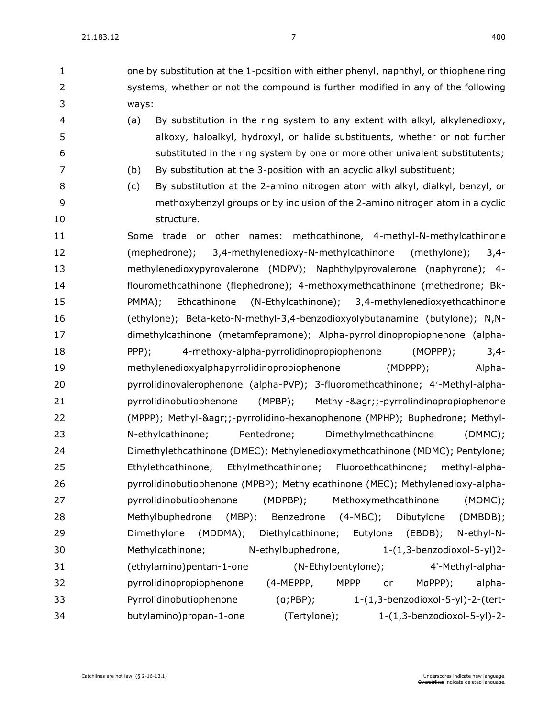one by substitution at the 1-position with either phenyl, naphthyl, or thiophene ring systems, whether or not the compound is further modified in any of the following ways:

- (a) By substitution in the ring system to any extent with alkyl, alkylenedioxy, alkoxy, haloalkyl, hydroxyl, or halide substituents, whether or not further substituted in the ring system by one or more other univalent substitutents;
- (b) By substitution at the 3-position with an acyclic alkyl substituent;
- 
- (c) By substitution at the 2-amino nitrogen atom with alkyl, dialkyl, benzyl, or methoxybenzyl groups or by inclusion of the 2-amino nitrogen atom in a cyclic 10 structure.
- Some trade or other names: methcathinone, 4-methyl-N-methylcathinone (mephedrone); 3,4-methylenedioxy-N-methylcathinone (methylone); 3,4- methylenedioxypyrovalerone (MDPV); Naphthylpyrovalerone (naphyrone); 4- flouromethcathinone (flephedrone); 4-methoxymethcathinone (methedrone; Bk- PMMA); Ethcathinone (N-Ethylcathinone); 3,4-methylenedioxyethcathinone (ethylone); Beta-keto-N-methyl-3,4-benzodioxyolybutanamine (butylone); N,N- dimethylcathinone (metamfepramone); Alpha-pyrrolidinopropiophenone (alpha- PPP); 4-methoxy-alpha-pyrrolidinopropiophenone (MOPPP); 3,4- methylenedioxyalphapyrrolidinopropiophenone (MDPPP); Alpha- pyrrolidinovalerophenone (alpha-PVP); 3-fluoromethcathinone; 4-Methyl-alpha- pyrrolidinobutiophenone (MPBP); Methyl-&agr;;-pyrrolindinopropiophenone (MPPP); Methyl-&agr;;-pyrrolidino-hexanophenone (MPHP); Buphedrone; Methyl- N-ethylcathinone; Pentedrone; Dimethylmethcathinone (DMMC); Dimethylethcathinone (DMEC); Methylenedioxymethcathinone (MDMC); Pentylone; Ethylethcathinone; Ethylmethcathinone; Fluoroethcathinone; methyl-alpha- pyrrolidinobutiophenone (MPBP); Methylecathinone (MEC); Methylenedioxy-alpha- pyrrolidinobutiophenone (MDPBP); Methoxymethcathinone (MOMC); Methylbuphedrone (MBP); Benzedrone (4-MBC); Dibutylone (DMBDB); Dimethylone (MDDMA); Diethylcathinone; Eutylone (EBDB); N-ethyl-N- Methylcathinone; N-ethylbuphedrone, 1-(1,3-benzodioxol-5-yl)2- (ethylamino)pentan-1-one (N-Ethylpentylone); 4'-Methyl-alpha-32 pyrrolidinopropiophenone (4-MEPPP, MPPP or MaPPP); alpha- Pyrrolidinobutiophenone (α;PBP); 1-(1,3-benzodioxol-5-yl)-2-(tert-butylamino)propan-1-one (Tertylone); 1-(1,3-benzodioxol-5-yl)-2-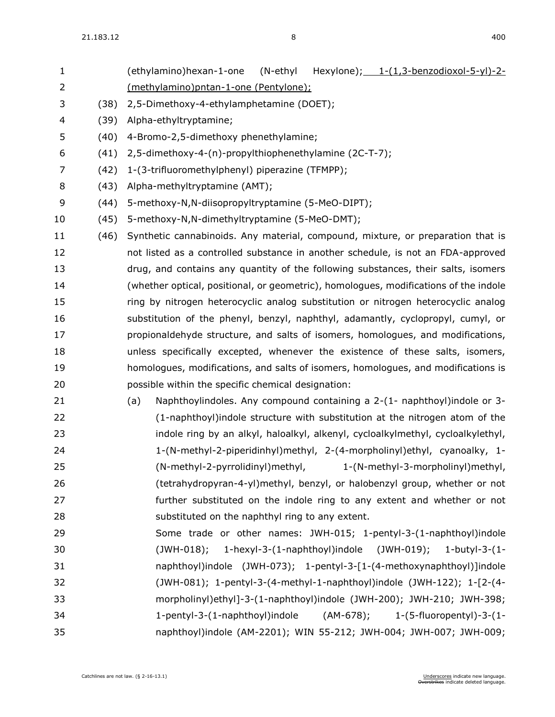| $\mathbf{1}$ |      | Hexylone); $1-(1,3-benzodioxol-5-yl)-2-$<br>(ethylamino)hexan-1-one<br>(N-ethyl        |
|--------------|------|----------------------------------------------------------------------------------------|
| 2            |      | (methylamino)pntan-1-one (Pentylone);                                                  |
| 3            | (38) | 2,5-Dimethoxy-4-ethylamphetamine (DOET);                                               |
| 4            | (39) | Alpha-ethyltryptamine;                                                                 |
| 5            | (40) | 4-Bromo-2,5-dimethoxy phenethylamine;                                                  |
| 6            | (41) | 2,5-dimethoxy-4-(n)-propylthiophenethylamine (2C-T-7);                                 |
| 7            | (42) | 1-(3-trifluoromethylphenyl) piperazine (TFMPP);                                        |
| 8            | (43) | Alpha-methyltryptamine (AMT);                                                          |
| 9            | (44) | 5-methoxy-N, N-diisopropyltryptamine (5-MeO-DIPT);                                     |
| 10           | (45) | 5-methoxy-N, N-dimethyltryptamine (5-MeO-DMT);                                         |
| 11           | (46) | Synthetic cannabinoids. Any material, compound, mixture, or preparation that is        |
| 12           |      | not listed as a controlled substance in another schedule, is not an FDA-approved       |
| 13           |      | drug, and contains any quantity of the following substances, their salts, isomers      |
| 14           |      | (whether optical, positional, or geometric), homologues, modifications of the indole   |
| 15           |      | ring by nitrogen heterocyclic analog substitution or nitrogen heterocyclic analog      |
| 16           |      | substitution of the phenyl, benzyl, naphthyl, adamantly, cyclopropyl, cumyl, or        |
| 17           |      | propionaldehyde structure, and salts of isomers, homologues, and modifications,        |
| 18           |      | unless specifically excepted, whenever the existence of these salts, isomers,          |
| 19           |      | homologues, modifications, and salts of isomers, homologues, and modifications is      |
| 20           |      | possible within the specific chemical designation:                                     |
| 21           |      | Naphthoylindoles. Any compound containing a 2-(1- naphthoyl)indole or 3-<br>(a)        |
| 22           |      | (1-naphthoyl)indole structure with substitution at the nitrogen atom of the            |
| 23           |      | indole ring by an alkyl, haloalkyl, alkenyl, cycloalkylmethyl, cycloalkylethyl,        |
| 24           |      | 1-(N-methyl-2-piperidinhyl)methyl, 2-(4-morpholinyl)ethyl, cyanoalky, 1-               |
| 25           |      | (N-methyl-2-pyrrolidinyl)methyl, 1-(N-methyl-3-morpholinyl)methyl,                     |
| 26           |      | (tetrahydropyran-4-yl)methyl, benzyl, or halobenzyl group, whether or not              |
| 27           |      | further substituted on the indole ring to any extent and whether or not                |
| 28           |      | substituted on the naphthyl ring to any extent.                                        |
| 29           |      | Some trade or other names: JWH-015; 1-pentyl-3-(1-naphthoyl)indole                     |
| 30           |      | 1-hexyl-3-(1-naphthoyl)indole $(JWH-019)$ ; 1-butyl-3-(1-<br>$(JWH-018);$              |
| 31           |      | naphthoyl)indole (JWH-073); 1-pentyl-3-[1-(4-methoxynaphthoyl)]indole                  |
| 32           |      | $(JWH-081); 1-pentyl-3-(4-methyl-1-naphthoyl)indole (JWH-122); 1-[2-(4-1)min(1-pq-1)]$ |
| 33           |      | morpholinyl)ethyl]-3-(1-naphthoyl)indole (JWH-200); JWH-210; JWH-398;                  |
| 34           |      | 1-pentyl-3-(1-naphthoyl)indole (AM-678); 1-(5-fluoropentyl)-3-(1-                      |
| 35           |      | naphthoyl)indole (AM-2201); WIN 55-212; JWH-004; JWH-007; JWH-009;                     |
|              |      |                                                                                        |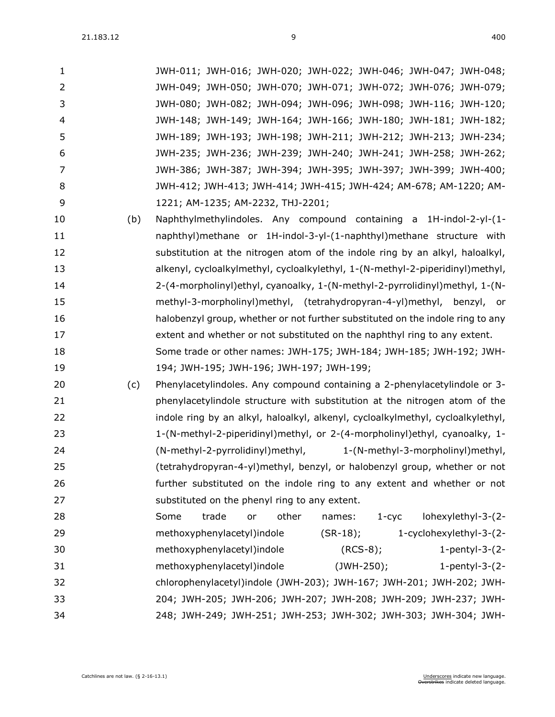|    |     | JWH-011; JWH-016; JWH-020; JWH-022; JWH-046; JWH-047; JWH-048;               |
|----|-----|------------------------------------------------------------------------------|
| 2  |     | JWH-049; JWH-050; JWH-070; JWH-071; JWH-072; JWH-076; JWH-079;               |
| 3  |     | JWH-080; JWH-082; JWH-094; JWH-096; JWH-098; JWH-116; JWH-120;               |
| 4  |     | JWH-148; JWH-149; JWH-164; JWH-166; JWH-180; JWH-181; JWH-182;               |
| 5  |     | JWH-189; JWH-193; JWH-198; JWH-211; JWH-212; JWH-213; JWH-234;               |
| 6  |     | JWH-235; JWH-236; JWH-239; JWH-240; JWH-241; JWH-258; JWH-262;               |
|    |     | JWH-386; JWH-387; JWH-394; JWH-395; JWH-397; JWH-399; JWH-400;               |
| 8  |     | JWH-412; JWH-413; JWH-414; JWH-415; JWH-424; AM-678; AM-1220; AM-            |
| q  |     | 1221; AM-1235; AM-2232, THJ-2201;                                            |
| 10 | (b) | Naphthylmethylindoles. Any compound containing a 1H-indol-2-yl-(1-           |
| 11 |     | naphthyl)methane or 1H-indol-3-yl-(1-naphthyl)methane structure with         |
| 12 |     | substitution at the nitrogen atom of the indole ring by an alkyl, haloalkyl, |
|    |     |                                                                              |

- alkenyl, cycloalkylmethyl, cycloalkylethyl, 1-(N-methyl-2-piperidinyl)methyl, 2-(4-morpholinyl)ethyl, cyanoalky, 1-(N-methyl-2-pyrrolidinyl)methyl, 1-(N- methyl-3-morpholinyl)methyl, (tetrahydropyran-4-yl)methyl, benzyl, or halobenzyl group, whether or not further substituted on the indole ring to any extent and whether or not substituted on the naphthyl ring to any extent. Some trade or other names: JWH-175; JWH-184; JWH-185; JWH-192; JWH-194; JWH-195; JWH-196; JWH-197; JWH-199;
- (c) Phenylacetylindoles. Any compound containing a 2-phenylacetylindole or 3- phenylacetylindole structure with substitution at the nitrogen atom of the 22 indole ring by an alkyl, haloalkyl, alkenyl, cycloalkylmethyl, cycloalkylethyl, 1-(N-methyl-2-piperidinyl)methyl, or 2-(4-morpholinyl)ethyl, cyanoalky, 1- (N-methyl-2-pyrrolidinyl)methyl, 1-(N-methyl-3-morpholinyl)methyl, (tetrahydropyran-4-yl)methyl, benzyl, or halobenzyl group, whether or not further substituted on the indole ring to any extent and whether or not 27 substituted on the phenyl ring to any extent.
- Some trade or other names: 1-cyc lohexylethyl-3-(2- methoxyphenylacetyl)indole (SR-18); 1-cyclohexylethyl-3-(2- methoxyphenylacetyl)indole (RCS-8); 1-pentyl-3-(2- methoxyphenylacetyl)indole (JWH-250); 1-pentyl-3-(2- chlorophenylacetyl)indole (JWH-203); JWH-167; JWH-201; JWH-202; JWH- 204; JWH-205; JWH-206; JWH-207; JWH-208; JWH-209; JWH-237; JWH-248; JWH-249; JWH-251; JWH-253; JWH-302; JWH-303; JWH-304; JWH-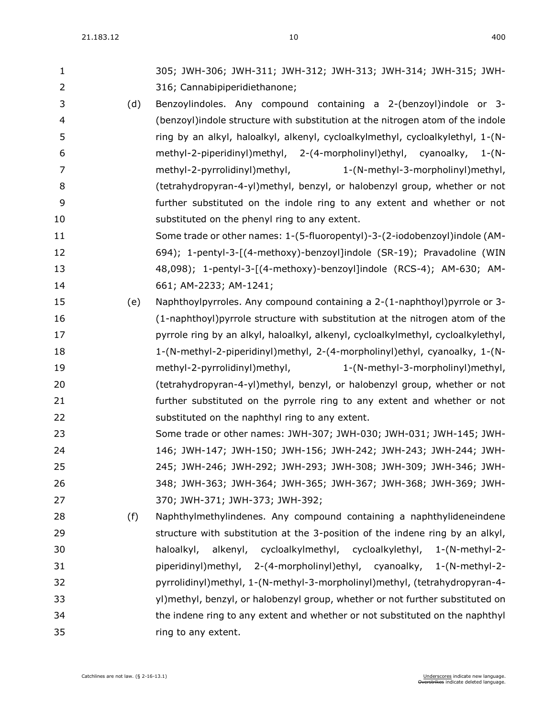| 1  |     | 305; JWH-306; JWH-311; JWH-312; JWH-313; JWH-314; JWH-315; JWH-                  |
|----|-----|----------------------------------------------------------------------------------|
| 2  |     | 316; Cannabipiperidiethanone;                                                    |
| 3  | (d) | Benzoylindoles. Any compound containing a 2-(benzoyl)indole or 3-                |
| 4  |     | (benzoyl)indole structure with substitution at the nitrogen atom of the indole   |
| 5  |     | ring by an alkyl, haloalkyl, alkenyl, cycloalkylmethyl, cycloalkylethyl, 1-(N-   |
| 6  |     | methyl-2-piperidinyl)methyl, 2-(4-morpholinyl)ethyl, cyanoalky, 1-(N-            |
| 7  |     | methyl-2-pyrrolidinyl)methyl,<br>1-(N-methyl-3-morpholinyl)methyl,               |
| 8  |     | (tetrahydropyran-4-yl)methyl, benzyl, or halobenzyl group, whether or not        |
| 9  |     | further substituted on the indole ring to any extent and whether or not          |
| 10 |     | substituted on the phenyl ring to any extent.                                    |
| 11 |     | Some trade or other names: 1-(5-fluoropentyl)-3-(2-iodobenzoyl)indole (AM-       |
| 12 |     | 694); 1-pentyl-3-[(4-methoxy)-benzoyl]indole (SR-19); Pravadoline (WIN           |
| 13 |     | 48,098); 1-pentyl-3-[(4-methoxy)-benzoyl]indole (RCS-4); AM-630; AM-             |
| 14 |     | 661; AM-2233; AM-1241;                                                           |
| 15 | (e) | Naphthoylpyrroles. Any compound containing a 2-(1-naphthoyl)pyrrole or 3-        |
| 16 |     | (1-naphthoyl) pyrrole structure with substitution at the nitrogen atom of the    |
| 17 |     | pyrrole ring by an alkyl, haloalkyl, alkenyl, cycloalkylmethyl, cycloalkylethyl, |
| 18 |     | 1-(N-methyl-2-piperidinyl)methyl, 2-(4-morpholinyl)ethyl, cyanoalky, 1-(N-       |
| 19 |     | methyl-2-pyrrolidinyl) methyl,<br>1-(N-methyl-3-morpholinyl)methyl,              |
| 20 |     | (tetrahydropyran-4-yl)methyl, benzyl, or halobenzyl group, whether or not        |
| 21 |     | further substituted on the pyrrole ring to any extent and whether or not         |
| 22 |     | substituted on the naphthyl ring to any extent.                                  |
| 23 |     | Some trade or other names: JWH-307; JWH-030; JWH-031; JWH-145; JWH-              |
| 24 |     | 146; JWH-147; JWH-150; JWH-156; JWH-242; JWH-243; JWH-244; JWH-                  |
| 25 |     | 245; JWH-246; JWH-292; JWH-293; JWH-308; JWH-309; JWH-346; JWH-                  |
| 26 |     | 348; JWH-363; JWH-364; JWH-365; JWH-367; JWH-368; JWH-369; JWH-                  |
| 27 |     | 370; JWH-371; JWH-373; JWH-392;                                                  |
| 28 | (f) | Naphthylmethylindenes. Any compound containing a naphthylideneindene             |
| 29 |     | structure with substitution at the 3-position of the indene ring by an alkyl,    |
| 30 |     | alkenyl, cycloalkylmethyl, cycloalkylethyl,<br>$1-(N-methyl-2-$<br>haloalkyl,    |
| 31 |     | piperidinyl)methyl, 2-(4-morpholinyl)ethyl, cyanoalky, 1-(N-methyl-2-            |
| 32 |     | pyrrolidinyl)methyl, 1-(N-methyl-3-morpholinyl)methyl, (tetrahydropyran-4-       |
| 33 |     | yl) methyl, benzyl, or halobenzyl group, whether or not further substituted on   |
| 34 |     | the indene ring to any extent and whether or not substituted on the naphthyl     |
| 35 |     | ring to any extent.                                                              |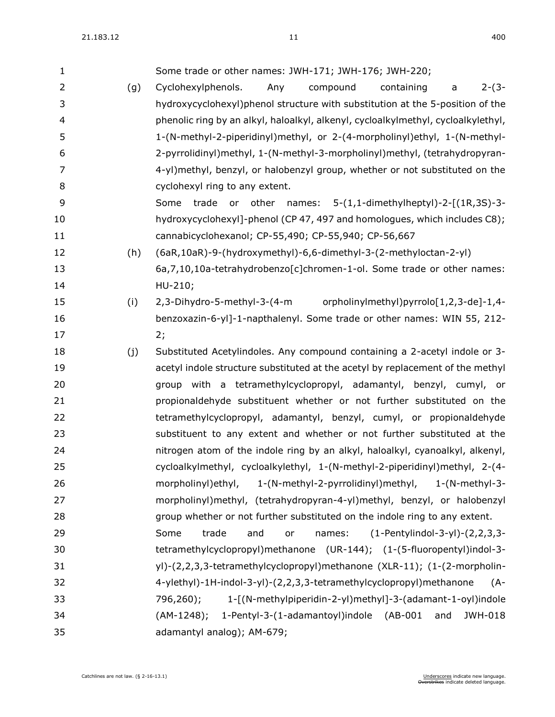| $\mathbf{1}$ |     | Some trade or other names: JWH-171; JWH-176; JWH-220;                             |
|--------------|-----|-----------------------------------------------------------------------------------|
| 2            | (g) | $2-(3-$<br>Cyclohexylphenols.<br>Any<br>compound<br>containing<br>a               |
| 3            |     | hydroxycyclohexyl)phenol structure with substitution at the 5-position of the     |
| 4            |     | phenolic ring by an alkyl, haloalkyl, alkenyl, cycloalkylmethyl, cycloalkylethyl, |
| 5            |     | 1-(N-methyl-2-piperidinyl)methyl, or 2-(4-morpholinyl)ethyl, 1-(N-methyl-         |
| 6            |     | 2-pyrrolidinyl)methyl, 1-(N-methyl-3-morpholinyl)methyl, (tetrahydropyran-        |
| 7            |     | 4-yl)methyl, benzyl, or halobenzyl group, whether or not substituted on the       |
| 8            |     | cyclohexyl ring to any extent.                                                    |
| 9            |     | or other names: 5-(1,1-dimethylheptyl)-2-[(1R,3S)-3-<br>Some<br>trade             |
| 10           |     | hydroxycyclohexyl]-phenol (CP 47, 497 and homologues, which includes C8);         |
| 11           |     | cannabicyclohexanol; CP-55,490; CP-55,940; CP-56,667                              |
| 12           | (h) | (6aR,10aR)-9-(hydroxymethyl)-6,6-dimethyl-3-(2-methyloctan-2-yl)                  |
| 13           |     | 6a,7,10,10a-tetrahydrobenzo[c]chromen-1-ol. Some trade or other names:            |
| 14           |     | HU-210;                                                                           |
| 15           | (i) | 2,3-Dihydro-5-methyl-3-(4-m<br>orpholinylmethyl)pyrrolo[1,2,3-de]-1,4-            |
| 16           |     | benzoxazin-6-yl]-1-napthalenyl. Some trade or other names: WIN 55, 212-           |
| 17           |     | 2;                                                                                |
| 18           | (j) | Substituted Acetylindoles. Any compound containing a 2-acetyl indole or 3-        |
| 19           |     | acetyl indole structure substituted at the acetyl by replacement of the methyl    |
| 20           |     | group with a tetramethylcyclopropyl, adamantyl, benzyl, cumyl, or                 |
| 21           |     | propionaldehyde substituent whether or not further substituted on the             |
| 22           |     | tetramethylcyclopropyl, adamantyl, benzyl, cumyl, or propionaldehyde              |
| 23           |     | substituent to any extent and whether or not further substituted at the           |
| 24           |     | nitrogen atom of the indole ring by an alkyl, haloalkyl, cyanoalkyl, alkenyl,     |
| 25           |     | cycloalkylmethyl, cycloalkylethyl, 1-(N-methyl-2-piperidinyl)methyl, 2-(4-        |
| 26           |     | morpholinyl)ethyl, 1-(N-methyl-2-pyrrolidinyl)methyl, 1-(N-methyl-3-              |
| 27           |     | morpholinyl)methyl, (tetrahydropyran-4-yl)methyl, benzyl, or halobenzyl           |
| 28           |     | group whether or not further substituted on the indole ring to any extent.        |
| 29           |     | Some<br>trade<br>and                                                              |
|              |     | $(1-Perbylindol-3-yl)-(2,2,3,3-$<br>names:<br>or                                  |
| 30           |     | tetramethylcyclopropyl)methanone (UR-144); (1-(5-fluoropentyl)indol-3-            |
| 31           |     | yl)-(2,2,3,3-tetramethylcyclopropyl)methanone (XLR-11); (1-(2-morpholin-          |
| 32           |     | 4-ylethyl)-1H-indol-3-yl)-(2,2,3,3-tetramethylcyclopropyl)methanone<br>$(A -$     |
| 33           |     | 796,260);<br>1-[(N-methylpiperidin-2-yl)methyl]-3-(adamant-1-oyl)indole           |
| 34           |     | 1-Pentyl-3-(1-adamantoyl)indole (AB-001<br>(AM-1248);<br>and<br>JWH-018           |
| 35           |     | adamantyl analog); AM-679;                                                        |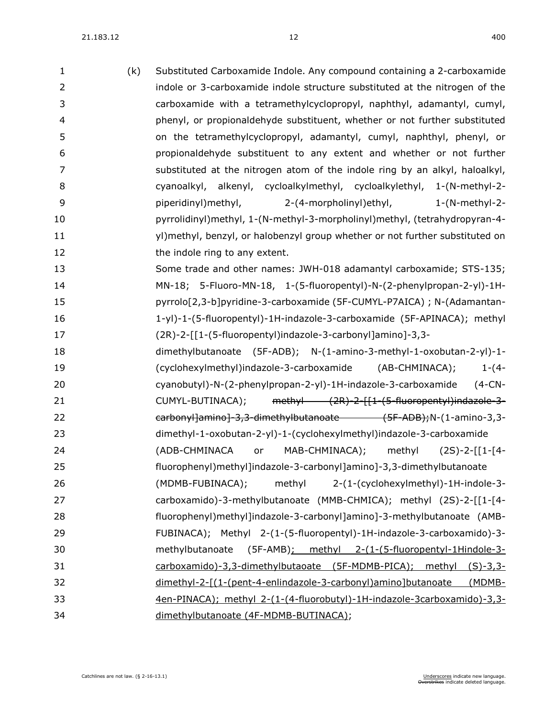| $\mathbf{1}$   | (k) | Substituted Carboxamide Indole. Any compound containing a 2-carboxamide       |
|----------------|-----|-------------------------------------------------------------------------------|
| $\overline{2}$ |     | indole or 3-carboxamide indole structure substituted at the nitrogen of the   |
| 3              |     | carboxamide with a tetramethylcyclopropyl, naphthyl, adamantyl, cumyl,        |
| 4              |     | phenyl, or propionaldehyde substituent, whether or not further substituted    |
| 5              |     | on the tetramethylcyclopropyl, adamantyl, cumyl, naphthyl, phenyl, or         |
| 6              |     | propionaldehyde substituent to any extent and whether or not further          |
| 7              |     | substituted at the nitrogen atom of the indole ring by an alkyl, haloalkyl,   |
| 8              |     | cyanoalkyl, alkenyl, cycloalkylmethyl, cycloalkylethyl, 1-(N-methyl-2-        |
| 9              |     | piperidinyl) methyl,<br>2-(4-morpholinyl) ethyl,<br>1-(N-methyl-2-            |
| 10             |     | pyrrolidinyl)methyl, 1-(N-methyl-3-morpholinyl)methyl, (tetrahydropyran-4-    |
| 11             |     | yl) methyl, benzyl, or halobenzyl group whether or not further substituted on |
| 12             |     | the indole ring to any extent.                                                |
| 13             |     | Some trade and other names: JWH-018 adamantyl carboxamide; STS-135;           |
| 14             |     | MN-18; 5-Fluoro-MN-18, 1-(5-fluoropentyl)-N-(2-phenylpropan-2-yl)-1H-         |
| 15             |     | pyrrolo[2,3-b]pyridine-3-carboxamide (5F-CUMYL-P7AICA) ; N-(Adamantan-        |
| 16             |     | 1-yl)-1-(5-fluoropentyl)-1H-indazole-3-carboxamide (5F-APINACA); methyl       |
| 17             |     | (2R)-2-[[1-(5-fluoropentyl)indazole-3-carbonyl]amino]-3,3-                    |
| 18             |     | dimethylbutanoate (5F-ADB); N-(1-amino-3-methyl-1-oxobutan-2-yl)-1-           |
| 19             |     | $1-(4-$<br>(cyclohexylmethyl)indazole-3-carboxamide (AB-CHMINACA);            |
| 20             |     | $(4-CN -$<br>cyanobutyl)-N-(2-phenylpropan-2-yl)-1H-indazole-3-carboxamide    |
| 21             |     | CUMYL-BUTINACA); methyl (2R)-2-[[1-(5-fluoropentyl)indazole-3-                |
| 22             |     | earbonyl]amino]-3,3-dimethylbutanoate (5F-ADB);N-(1-amino-3,3-                |
| 23             |     | dimethyl-1-oxobutan-2-yl)-1-(cyclohexylmethyl)indazole-3-carboxamide          |
| 24             |     | MAB-CHMINACA);<br>(ADB-CHMINACA<br>methyl<br>$(2S)-2-[[1-[4-$<br>or           |
| 25             |     | fluorophenyl)methyl]indazole-3-carbonyl]amino]-3,3-dimethylbutanoate          |
| 26             |     | (MDMB-FUBINACA);<br>methyl<br>2-(1-(cyclohexylmethyl)-1H-indole-3-            |
| 27             |     | carboxamido)-3-methylbutanoate (MMB-CHMICA); methyl (2S)-2-[[1-[4-            |
| 28             |     | fluorophenyl)methyl]indazole-3-carbonyl]amino]-3-methylbutanoate (AMB-        |
| 29             |     | FUBINACA); Methyl 2-(1-(5-fluoropentyl)-1H-indazole-3-carboxamido)-3-         |
| 30             |     | methylbutanoate (5F-AMB): methyl 2-(1-(5-fluoropentyl-1Hindole-3-             |
| 31             |     | carboxamido)-3,3-dimethylbutaoate (5F-MDMB-PICA); methyl (S)-3,3-             |
| 32             |     | dimethyl-2-[(1-(pent-4-enlindazole-3-carbonyl)amino]butanoate<br>(MDMB-       |
| 33             |     | 4en-PINACA); methyl 2-(1-(4-fluorobutyl)-1H-indazole-3carboxamido)-3,3-       |
| 34             |     | dimethylbutanoate (4F-MDMB-BUTINACA);                                         |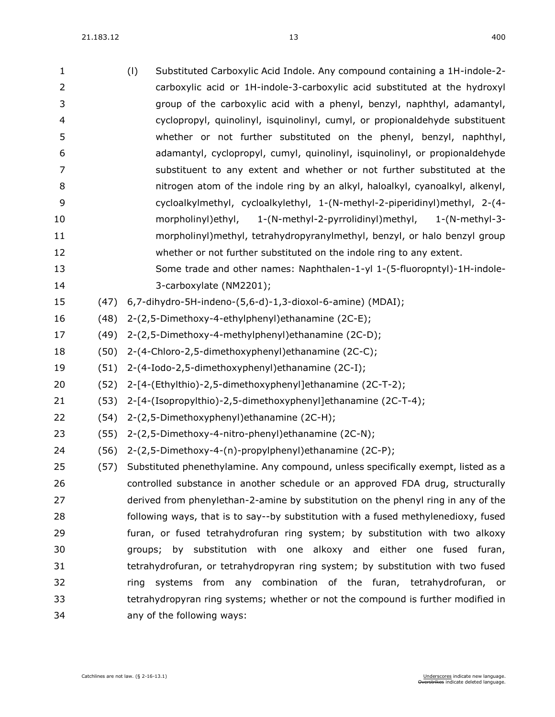$21.183.12$   $13$   $400$ 

| 1  |      | (1)<br>Substituted Carboxylic Acid Indole. Any compound containing a 1H-indole-2-      |
|----|------|----------------------------------------------------------------------------------------|
| 2  |      | carboxylic acid or 1H-indole-3-carboxylic acid substituted at the hydroxyl             |
| 3  |      | group of the carboxylic acid with a phenyl, benzyl, naphthyl, adamantyl,               |
| 4  |      | cyclopropyl, quinolinyl, isquinolinyl, cumyl, or propionaldehyde substituent           |
| 5  |      | whether or not further substituted on the phenyl, benzyl, naphthyl,                    |
| 6  |      | adamantyl, cyclopropyl, cumyl, quinolinyl, isquinolinyl, or propionaldehyde            |
| 7  |      | substituent to any extent and whether or not further substituted at the                |
| 8  |      | nitrogen atom of the indole ring by an alkyl, haloalkyl, cyanoalkyl, alkenyl,          |
| 9  |      | cycloalkylmethyl, cycloalkylethyl, 1-(N-methyl-2-piperidinyl)methyl, 2-(4-             |
| 10 |      | morpholinyl)ethyl, 1-(N-methyl-2-pyrrolidinyl)methyl, 1-(N-methyl-3-                   |
| 11 |      | morpholinyl)methyl, tetrahydropyranylmethyl, benzyl, or halo benzyl group              |
| 12 |      | whether or not further substituted on the indole ring to any extent.                   |
| 13 |      | Some trade and other names: Naphthalen-1-yl 1-(5-fluoropntyl)-1H-indole-               |
| 14 |      | 3-carboxylate (NM2201);                                                                |
| 15 | (47) | 6,7-dihydro-5H-indeno-(5,6-d)-1,3-dioxol-6-amine) (MDAI);                              |
| 16 | (48) | 2-(2,5-Dimethoxy-4-ethylphenyl) ethanamine (2C-E);                                     |
| 17 | (49) | 2-(2,5-Dimethoxy-4-methylphenyl) ethanamine (2C-D);                                    |
| 18 | (50) | 2-(4-Chloro-2,5-dimethoxyphenyl) ethanamine (2C-C);                                    |
| 19 | (51) | 2-(4-Iodo-2,5-dimethoxyphenyl)ethanamine (2C-I);                                       |
| 20 | (52) | 2-[4-(Ethylthio)-2,5-dimethoxyphenyl]ethanamine (2C-T-2);                              |
| 21 | (53) | 2-[4-(Isopropylthio)-2,5-dimethoxyphenyl]ethanamine (2C-T-4);                          |
| 22 | (54) | 2-(2,5-Dimethoxyphenyl)ethanamine (2C-H);                                              |
| 23 | (55) | 2-(2,5-Dimethoxy-4-nitro-phenyl) ethanamine (2C-N);                                    |
| 24 | (56) | 2-(2,5-Dimethoxy-4-(n)-propylphenyl)ethanamine (2C-P);                                 |
| 25 |      | (57) Substituted phenethylamine. Any compound, unless specifically exempt, listed as a |
| 26 |      | controlled substance in another schedule or an approved FDA drug, structurally         |
| 27 |      | derived from phenylethan-2-amine by substitution on the phenyl ring in any of the      |
| 28 |      | following ways, that is to say--by substitution with a fused methylenedioxy, fused     |
| 29 |      | furan, or fused tetrahydrofuran ring system; by substitution with two alkoxy           |
| 30 |      | groups; by substitution with one alkoxy and either one fused furan,                    |
| 31 |      | tetrahydrofuran, or tetrahydropyran ring system; by substitution with two fused        |
| 32 |      | systems from any combination of the furan, tetrahydrofuran, or<br>ring                 |
| 33 |      | tetrahydropyran ring systems; whether or not the compound is further modified in       |
| 34 |      | any of the following ways:                                                             |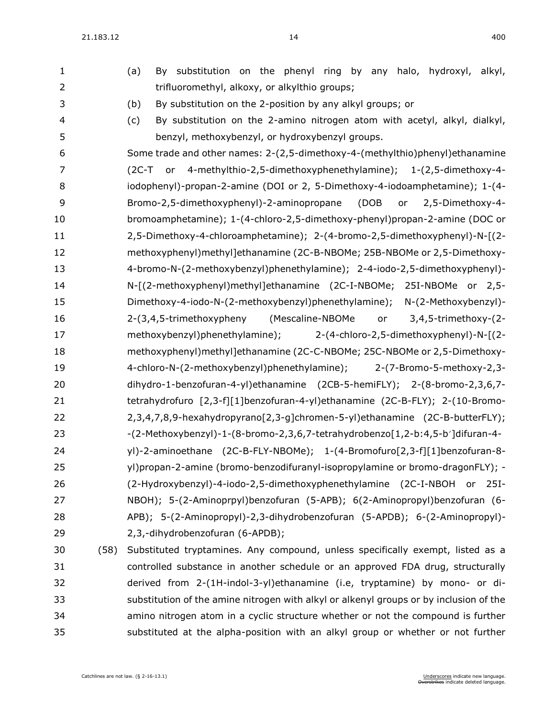$21.183.12$  400

| $\mathbf{1}$   |      | By substitution on the phenyl ring by any halo, hydroxyl, alkyl,<br>(a)                |
|----------------|------|----------------------------------------------------------------------------------------|
| $\overline{2}$ |      | trifluoromethyl, alkoxy, or alkylthio groups;                                          |
| 3              |      | (b)<br>By substitution on the 2-position by any alkyl groups; or                       |
| $\overline{4}$ |      | By substitution on the 2-amino nitrogen atom with acetyl, alkyl, dialkyl,<br>(c)       |
| 5              |      | benzyl, methoxybenzyl, or hydroxybenzyl groups.                                        |
| 6              |      | Some trade and other names: 2-(2,5-dimethoxy-4-(methylthio)phenyl)ethanamine           |
| 7              |      | (2C-T or 4-methylthio-2,5-dimethoxyphenethylamine); 1-(2,5-dimethoxy-4-                |
| 8              |      | iodophenyl)-propan-2-amine (DOI or 2, 5-Dimethoxy-4-iodoamphetamine); 1-(4-            |
| 9              |      | Bromo-2,5-dimethoxyphenyl)-2-aminopropane<br>(DOB<br>2,5-Dimethoxy-4-<br>or            |
| 10             |      | bromoamphetamine); 1-(4-chloro-2,5-dimethoxy-phenyl)propan-2-amine (DOC or             |
| 11             |      | 2,5-Dimethoxy-4-chloroamphetamine); 2-(4-bromo-2,5-dimethoxyphenyl)-N-[(2-             |
| 12             |      | methoxyphenyl)methyl]ethanamine (2C-B-NBOMe; 25B-NBOMe or 2,5-Dimethoxy-               |
| 13             |      | 4-bromo-N-(2-methoxybenzyl)phenethylamine); 2-4-iodo-2,5-dimethoxyphenyl)-             |
| 14             |      | N-[(2-methoxyphenyl)methyl]ethanamine (2C-I-NBOMe; 25I-NBOMe or 2,5-                   |
| 15             |      | Dimethoxy-4-iodo-N-(2-methoxybenzyl)phenethylamine); N-(2-Methoxybenzyl)-              |
| 16             |      | (Mescaline-NBOMe<br>2-(3,4,5-trimethoxypheny<br>or 3,4,5-trimethoxy-(2-                |
| 17             |      | methoxybenzyl)phenethylamine);<br>2-(4-chloro-2,5-dimethoxyphenyl)-N-[(2-              |
| 18             |      | methoxyphenyl)methyl]ethanamine (2C-C-NBOMe; 25C-NBOMe or 2,5-Dimethoxy-               |
| 19             |      | 4-chloro-N-(2-methoxybenzyl)phenethylamine);<br>2-(7-Bromo-5-methoxy-2,3-              |
| 20             |      | dihydro-1-benzofuran-4-yl)ethanamine (2CB-5-hemiFLY); 2-(8-bromo-2,3,6,7-              |
| 21             |      | tetrahydrofuro [2,3-f][1]benzofuran-4-yl)ethanamine (2C-B-FLY); 2-(10-Bromo-           |
| 22             |      | 2,3,4,7,8,9-hexahydropyrano[2,3-g]chromen-5-yl)ethanamine (2C-B-butterFLY);            |
| 23             |      | -(2-Methoxybenzyl)-1-(8-bromo-2,3,6,7-tetrahydrobenzo[1,2-b:4,5-b']difuran-4-          |
| 24             |      | yl)-2-aminoethane (2C-B-FLY-NBOMe); 1-(4-Bromofuro[2,3-f][1]benzofuran-8-              |
| 25             |      | yl)propan-2-amine (bromo-benzodifuranyl-isopropylamine or bromo-dragonFLY); -          |
| 26             |      | (2-Hydroxybenzyl)-4-iodo-2,5-dimethoxyphenethylamine (2C-I-NBOH or<br>25I-             |
| 27             |      | NBOH); 5-(2-Aminoprpyl)benzofuran (5-APB); 6(2-Aminopropyl)benzofuran (6-              |
| 28             |      | APB); 5-(2-Aminopropyl)-2,3-dihydrobenzofuran (5-APDB); 6-(2-Aminopropyl)-             |
| 29             |      | 2,3,-dihydrobenzofuran (6-APDB);                                                       |
| 30             | (58) | Substituted tryptamines. Any compound, unless specifically exempt, listed as a         |
| 31             |      | controlled substance in another schedule or an approved FDA drug, structurally         |
| 32             |      | derived from 2-(1H-indol-3-yl)ethanamine (i.e, tryptamine) by mono- or di-             |
| 33             |      | substitution of the amine nitrogen with alkyl or alkenyl groups or by inclusion of the |
| 34             |      | amino nitrogen atom in a cyclic structure whether or not the compound is further       |
| 35             |      | substituted at the alpha-position with an alkyl group or whether or not further        |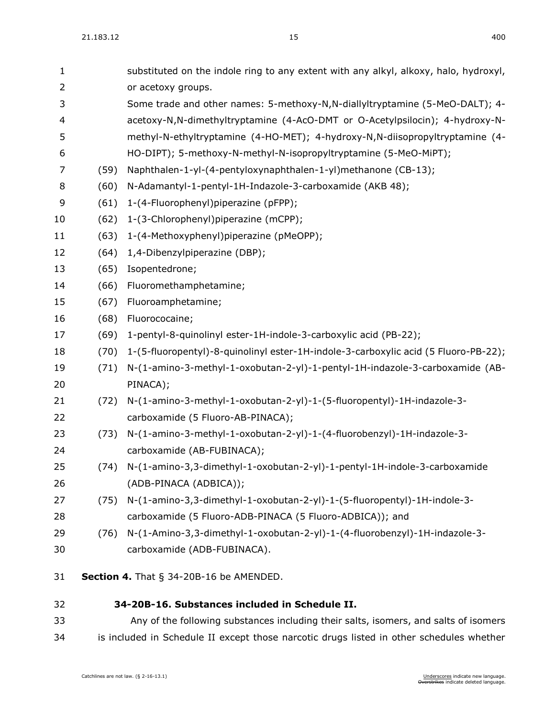| 1              |      | substituted on the indole ring to any extent with any alkyl, alkoxy, halo, hydroxyl, |
|----------------|------|--------------------------------------------------------------------------------------|
| $\overline{2}$ |      | or acetoxy groups.                                                                   |
| 3              |      | Some trade and other names: 5-methoxy-N,N-diallyltryptamine (5-MeO-DALT); 4-         |
| 4              |      | acetoxy-N,N-dimethyltryptamine (4-AcO-DMT or O-Acetylpsilocin); 4-hydroxy-N-         |
| 5              |      | methyl-N-ethyltryptamine (4-HO-MET); 4-hydroxy-N,N-diisopropyltryptamine (4-         |
| 6              |      | HO-DIPT); 5-methoxy-N-methyl-N-isopropyltryptamine (5-MeO-MiPT);                     |
| 7              | (59) | Naphthalen-1-yl-(4-pentyloxynaphthalen-1-yl)methanone (CB-13);                       |
| 8              | (60) | N-Adamantyl-1-pentyl-1H-Indazole-3-carboxamide (AKB 48);                             |
| 9              | (61) | 1-(4-Fluorophenyl)piperazine (pFPP);                                                 |
| 10             | (62) | 1-(3-Chlorophenyl)piperazine (mCPP);                                                 |
| 11             | (63) | 1-(4-Methoxyphenyl)piperazine (pMeOPP);                                              |
| 12             | (64) | 1,4-Dibenzylpiperazine (DBP);                                                        |
| 13             | (65) | Isopentedrone;                                                                       |
| 14             | (66) | Fluoromethamphetamine;                                                               |
| 15             | (67) | Fluoroamphetamine;                                                                   |
| 16             | (68) | Fluorococaine;                                                                       |
| 17             | (69) | 1-pentyl-8-quinolinyl ester-1H-indole-3-carboxylic acid (PB-22);                     |
| 18             | (70) | 1-(5-fluoropentyl)-8-quinolinyl ester-1H-indole-3-carboxylic acid (5 Fluoro-PB-22);  |
| 19             | (71) | N-(1-amino-3-methyl-1-oxobutan-2-yl)-1-pentyl-1H-indazole-3-carboxamide (AB-         |
| 20             |      | PINACA);                                                                             |
| 21             | (72) | N-(1-amino-3-methyl-1-oxobutan-2-yl)-1-(5-fluoropentyl)-1H-indazole-3-               |
| 22             |      | carboxamide (5 Fluoro-AB-PINACA);                                                    |
| 23             | (73) | N-(1-amino-3-methyl-1-oxobutan-2-yl)-1-(4-fluorobenzyl)-1H-indazole-3-               |
| 24             |      | carboxamide (AB-FUBINACA);                                                           |
| 25             | (74) | N-(1-amino-3,3-dimethyl-1-oxobutan-2-yl)-1-pentyl-1H-indole-3-carboxamide            |
| 26             |      | (ADB-PINACA (ADBICA));                                                               |
| 27             | (75) | N-(1-amino-3,3-dimethyl-1-oxobutan-2-yl)-1-(5-fluoropentyl)-1H-indole-3-             |
| 28             |      | carboxamide (5 Fluoro-ADB-PINACA (5 Fluoro-ADBICA)); and                             |
| 29             | (76) | N-(1-Amino-3,3-dimethyl-1-oxobutan-2-yl)-1-(4-fluorobenzyl)-1H-indazole-3-           |
| 30             |      | carboxamide (ADB-FUBINACA).                                                          |
| 31             |      | Section 4. That $\S$ 34-20B-16 be AMENDED.                                           |
| 32             |      | 34-20B-16. Substances included in Schedule II.                                       |
| 33             |      | Any of the following substances including their salts, isomers, and salts of isomers |

is included in Schedule II except those narcotic drugs listed in other schedules whether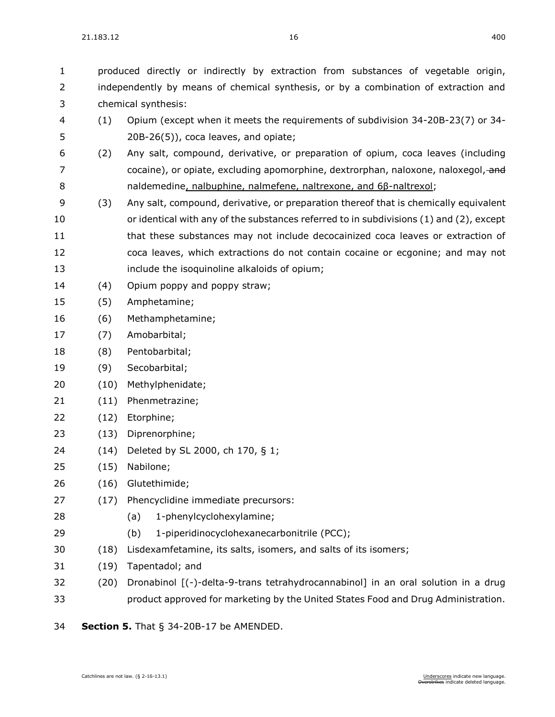produced directly or indirectly by extraction from substances of vegetable origin, independently by means of chemical synthesis, or by a combination of extraction and chemical synthesis:

- (1) Opium (except when it meets the requirements of subdivision [34-20B-23\(](https://sdlegislature.gov/Statutes/Codified_Laws/DisplayStatute.aspx?Type=Statute&Statute=34-20B-23)7) or [34-](https://sdlegislature.gov/Statutes/Codified_Laws/DisplayStatute.aspx?Type=Statute&Statute=34-20B-26) [20B-26\(](https://sdlegislature.gov/Statutes/Codified_Laws/DisplayStatute.aspx?Type=Statute&Statute=34-20B-26)5)), coca leaves, and opiate;
- (2) Any salt, compound, derivative, or preparation of opium, coca leaves (including 7 cocaine), or opiate, excluding apomorphine, dextrorphan, naloxone, naloxegol, and naldemedine, nalbuphine, nalmefene, naltrexone, and 6β-naltrexol;
- (3) Any salt, compound, derivative, or preparation thereof that is chemically equivalent or identical with any of the substances referred to in subdivisions (1) and (2), except that these substances may not include decocainized coca leaves or extraction of coca leaves, which extractions do not contain cocaine or ecgonine; and may not include the isoquinoline alkaloids of opium;
- (4) Opium poppy and poppy straw;
- (5) Amphetamine;
- (6) Methamphetamine;
- (7) Amobarbital;
- (8) Pentobarbital;
- (9) Secobarbital;
- (10) Methylphenidate;
- (11) Phenmetrazine;
- (12) Etorphine;
- (13) Diprenorphine;
- (14) Deleted by SL 2000, ch 170, § 1;
- (15) Nabilone;
- (16) Glutethimide;
- (17) Phencyclidine immediate precursors:
- (a) 1-phenylcyclohexylamine;
- (b) 1-piperidinocyclohexanecarbonitrile (PCC);
- (18) Lisdexamfetamine, its salts, isomers, and salts of its isomers;
- (19) Tapentadol; and
- (20) Dronabinol [(-)-delta-9-trans tetrahydrocannabinol] in an oral solution in a drug product approved for marketing by the United States Food and Drug Administration.

**Section 5.** [That § 34-20B-17 be AMENDED.](https://sdlegislature.gov/Statutes/Codified_Laws/DisplayStatute.aspx?Type=Statute&Statute=34-20B-17)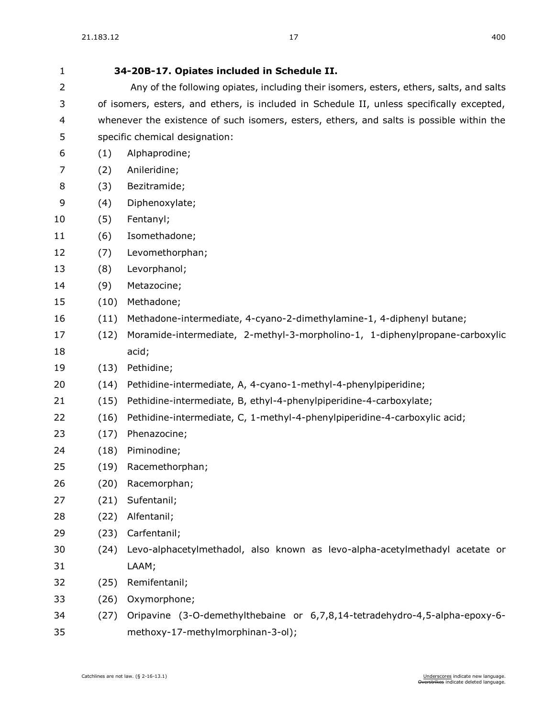| $\mathbf{1}$   | 34-20B-17. Opiates included in Schedule II.                                               |                                                                                         |
|----------------|-------------------------------------------------------------------------------------------|-----------------------------------------------------------------------------------------|
| $\overline{2}$ |                                                                                           | Any of the following opiates, including their isomers, esters, ethers, salts, and salts |
| 3              | of isomers, esters, and ethers, is included in Schedule II, unless specifically excepted, |                                                                                         |
| 4              | whenever the existence of such isomers, esters, ethers, and salts is possible within the  |                                                                                         |
| 5              | specific chemical designation:                                                            |                                                                                         |
| 6              | (1)                                                                                       | Alphaprodine;                                                                           |
| 7              | (2)                                                                                       | Anileridine;                                                                            |
| 8              | (3)                                                                                       | Bezitramide;                                                                            |
| 9              | (4)                                                                                       | Diphenoxylate;                                                                          |
| 10             | (5)                                                                                       | Fentanyl;                                                                               |
| 11             | (6)                                                                                       | Isomethadone;                                                                           |
| 12             | (7)                                                                                       | Levomethorphan;                                                                         |
| 13             | (8)                                                                                       | Levorphanol;                                                                            |
| 14             | (9)                                                                                       | Metazocine;                                                                             |
| 15             | (10)                                                                                      | Methadone;                                                                              |
| 16             | (11)                                                                                      | Methadone-intermediate, 4-cyano-2-dimethylamine-1, 4-diphenyl butane;                   |
| 17             | (12)                                                                                      | Moramide-intermediate, 2-methyl-3-morpholino-1, 1-diphenylpropane-carboxylic            |
| 18             |                                                                                           | acid;                                                                                   |
| 19             | (13)                                                                                      | Pethidine;                                                                              |
| 20             | (14)                                                                                      | Pethidine-intermediate, A, 4-cyano-1-methyl-4-phenylpiperidine;                         |
| 21             | (15)                                                                                      | Pethidine-intermediate, B, ethyl-4-phenylpiperidine-4-carboxylate;                      |
| 22             | (16)                                                                                      | Pethidine-intermediate, C, 1-methyl-4-phenylpiperidine-4-carboxylic acid;               |
| 23             | (17)                                                                                      | Phenazocine;                                                                            |
| 24             | (18)                                                                                      | Piminodine;                                                                             |
| 25             | (19)                                                                                      | Racemethorphan;                                                                         |
| 26             | (20)                                                                                      | Racemorphan;                                                                            |
| 27             | (21)                                                                                      | Sufentanil;                                                                             |
| 28             | (22)                                                                                      | Alfentanil;                                                                             |
| 29             | (23)                                                                                      | Carfentanil;                                                                            |
| 30             | (24)                                                                                      | Levo-alphacetylmethadol, also known as levo-alpha-acetylmethadyl acetate or             |
| 31             |                                                                                           | LAAM;                                                                                   |
| 32             | (25)                                                                                      | Remifentanil;                                                                           |
| 33             | (26)                                                                                      | Oxymorphone;                                                                            |
| 34             | (27)                                                                                      | Oripavine (3-O-demethylthebaine or 6,7,8,14-tetradehydro-4,5-alpha-epoxy-6-             |
| 35             |                                                                                           | methoxy-17-methylmorphinan-3-ol);                                                       |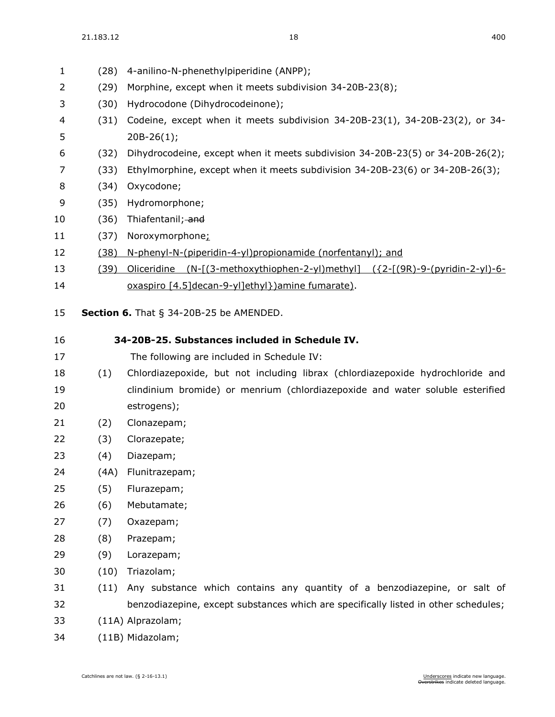| 1  | (28) | 4-anilino-N-phenethylpiperidine (ANPP);                                                            |
|----|------|----------------------------------------------------------------------------------------------------|
| 2  | (29) | Morphine, except when it meets subdivision 34-20B-23(8);                                           |
| 3  | (30) | Hydrocodone (Dihydrocodeinone);                                                                    |
| 4  | (31) | Codeine, except when it meets subdivision 34-20B-23(1), 34-20B-23(2), or 34-                       |
| 5  |      | $20B-26(1);$                                                                                       |
| 6  | (32) | Dihydrocodeine, except when it meets subdivision 34-20B-23(5) or 34-20B-26(2);                     |
| 7  | (33) | Ethylmorphine, except when it meets subdivision 34-20B-23(6) or 34-20B-26(3);                      |
| 8  | (34) | Oxycodone;                                                                                         |
| 9  | (35) | Hydromorphone;                                                                                     |
| 10 | (36) | Thiafentanil; and                                                                                  |
| 11 | (37) | Noroxymorphone;                                                                                    |
| 12 | (38) | N-phenyl-N-(piperidin-4-yl)propionamide (norfentanyl); and                                         |
| 13 | (39) | <u>Oliceridine (N-[(3-methoxythiophen-2-yl)methyl] (<math>\{2-[9R)-9-(pyridin-2-y]\}-6-</math></u> |
| 14 |      | oxaspiro [4.5] decan-9-yl] ethyl }) amine fumarate).                                               |
|    |      |                                                                                                    |
| 15 |      | <b>Section 6.</b> That $\S$ 34-20B-25 be AMENDED.                                                  |
| 16 |      | 34-20B-25. Substances included in Schedule IV.                                                     |
| 17 |      | The following are included in Schedule IV:                                                         |
| 18 | (1)  | Chlordiazepoxide, but not including librax (chlordiazepoxide hydrochloride and                     |
| 19 |      | clindinium bromide) or menrium (chlordiazepoxide and water soluble esterified                      |
| 20 |      | estrogens);                                                                                        |
| 21 | (2)  | Clonazepam;                                                                                        |
| 22 | (3)  | Clorazepate;                                                                                       |
| 23 | (4)  | Diazepam;                                                                                          |
| 24 |      | (4A) Flunitrazepam;                                                                                |
| 25 | (5)  | Flurazepam;                                                                                        |
| 26 | (6)  | Mebutamate;                                                                                        |
| 27 | (7)  | Oxazepam;                                                                                          |
| 28 | (8)  | Prazepam;                                                                                          |
| 29 | (9)  | Lorazepam;                                                                                         |
| 30 | (10) | Triazolam;                                                                                         |
| 31 | (11) | Any substance which contains any quantity of a benzodiazepine, or salt of                          |
| 32 |      | benzodiazepine, except substances which are specifically listed in other schedules;                |
| 33 |      | (11A) Alprazolam;                                                                                  |

(11B) Midazolam;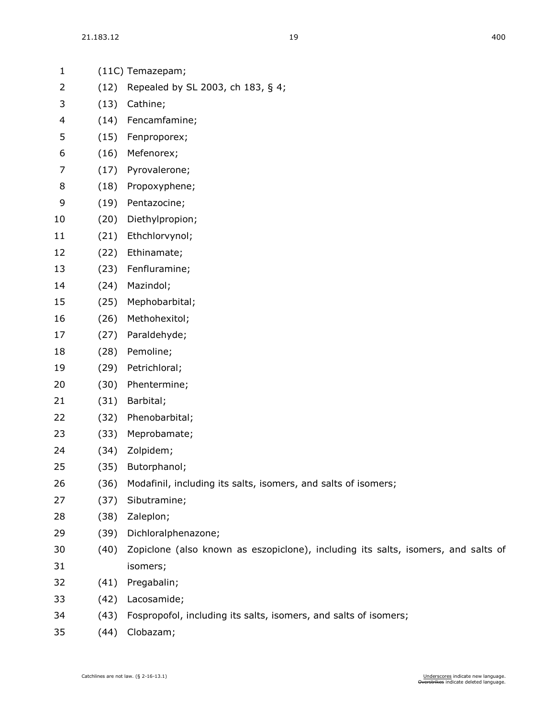| $\mathbf{1}$ |      | (11C) Temazepam;                                                                  |
|--------------|------|-----------------------------------------------------------------------------------|
| 2            | (12) | Repealed by SL 2003, ch 183, § 4;                                                 |
| 3            | (13) | Cathine;                                                                          |
| 4            | (14) | Fencamfamine;                                                                     |
| 5            | (15) | Fenproporex;                                                                      |
| 6            | (16) | Mefenorex;                                                                        |
| 7            | (17) | Pyrovalerone;                                                                     |
| 8            | (18) | Propoxyphene;                                                                     |
| 9            | (19) | Pentazocine;                                                                      |
| 10           | (20) | Diethylpropion;                                                                   |
| 11           | (21) | Ethchlorvynol;                                                                    |
| 12           | (22) | Ethinamate;                                                                       |
| 13           | (23) | Fenfluramine;                                                                     |
| 14           | (24) | Mazindol;                                                                         |
| 15           | (25) | Mephobarbital;                                                                    |
| 16           | (26) | Methohexitol;                                                                     |
| 17           | (27) | Paraldehyde;                                                                      |
| 18           | (28) | Pemoline;                                                                         |
| 19           | (29) | Petrichloral;                                                                     |
| 20           | (30) | Phentermine;                                                                      |
| 21           | (31) | Barbital;                                                                         |
| 22           | (32) | Phenobarbital;                                                                    |
| 23           | (33) | Meprobamate;                                                                      |
| 24           | (34) | Zolpidem;                                                                         |
| 25           | (35) | Butorphanol;                                                                      |
| 26           | (36) | Modafinil, including its salts, isomers, and salts of isomers;                    |
| 27           | (37) | Sibutramine;                                                                      |
| 28           | (38) | Zaleplon;                                                                         |
| 29           | (39) | Dichloralphenazone;                                                               |
| 30           | (40) | Zopiclone (also known as eszopiclone), including its salts, isomers, and salts of |
| 31           |      | isomers;                                                                          |
| 32           | (41) | Pregabalin;                                                                       |
| 33           | (42) | Lacosamide;                                                                       |
| 34           | (43) | Fospropofol, including its salts, isomers, and salts of isomers;                  |

(44) Clobazam;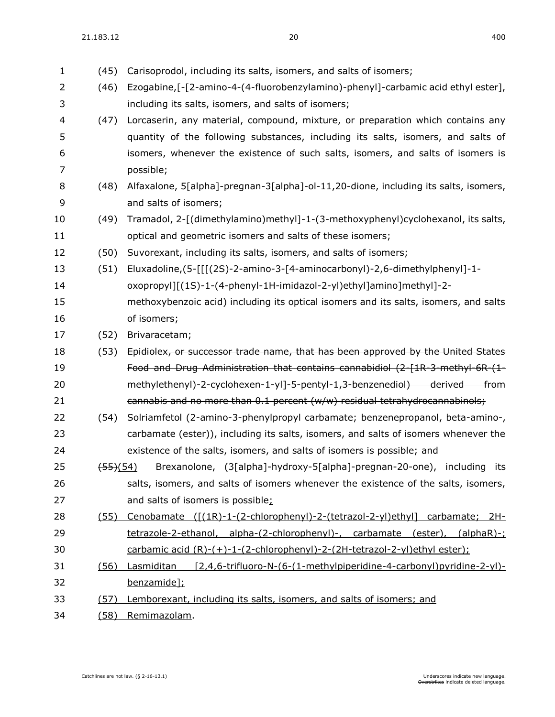| $\mathbf{1}$   | (45)                  | Carisoprodol, including its salts, isomers, and salts of isomers;                         |
|----------------|-----------------------|-------------------------------------------------------------------------------------------|
| $\overline{2}$ | (46)                  | Ezogabine,[-[2-amino-4-(4-fluorobenzylamino)-phenyl]-carbamic acid ethyl ester],          |
| 3              |                       | including its salts, isomers, and salts of isomers;                                       |
| 4              | (47)                  | Lorcaserin, any material, compound, mixture, or preparation which contains any            |
| 5              |                       | quantity of the following substances, including its salts, isomers, and salts of          |
| 6              |                       | isomers, whenever the existence of such salts, isomers, and salts of isomers is           |
| 7              |                       | possible;                                                                                 |
| 8              | (48)                  | Alfaxalone, 5[alpha]-pregnan-3[alpha]-ol-11,20-dione, including its salts, isomers,       |
| 9              |                       | and salts of isomers;                                                                     |
| 10             | (49)                  | Tramadol, 2-[(dimethylamino)methyl]-1-(3-methoxyphenyl)cyclohexanol, its salts,           |
| 11             |                       | optical and geometric isomers and salts of these isomers;                                 |
| 12             | (50)                  | Suvorexant, including its salts, isomers, and salts of isomers;                           |
| 13             | (51)                  | Eluxadoline,(5-[[[(2S)-2-amino-3-[4-aminocarbonyl)-2,6-dimethylphenyl]-1-                 |
| 14             |                       | oxopropyl][(1S)-1-(4-phenyl-1H-imidazol-2-yl)ethyl]amino]methyl]-2-                       |
| 15             |                       | methoxybenzoic acid) including its optical isomers and its salts, isomers, and salts      |
| 16             |                       | of isomers;                                                                               |
| 17             | (52)                  | Brivaracetam;                                                                             |
| 18             | (53)                  | Epidiolex, or successor trade name, that has been approved by the United States           |
| 19             |                       | Food and Drug Administration that contains cannabidiol (2-[1R-3-methyl-6R-(1-             |
| 20             |                       | methylethenyl) 2-cyclohexen 1-yl] 5-pentyl 1,3-benzenediol) derived from                  |
| 21             |                       | cannabis and no more than 0.1 percent (w/w) residual tetrahydrocannabinols;               |
| 22             |                       | (54) Solriamfetol (2-amino-3-phenylpropyl carbamate; benzenepropanol, beta-amino-,        |
| 23             |                       | carbamate (ester)), including its salts, isomers, and salts of isomers whenever the       |
| 24             |                       | existence of the salts, isomers, and salts of isomers is possible; and                    |
| 25             | $\left(55\right)(54)$ | Brexanolone, (3[alpha]-hydroxy-5[alpha]-pregnan-20-one), including its                    |
| 26             |                       | salts, isomers, and salts of isomers whenever the existence of the salts, isomers,        |
| 27             |                       | and salts of isomers is possible;                                                         |
| 28             | (55)                  | <u>Cenobamate ([(1R)-1-(2-chlorophenyl)-2-(tetrazol-2-yl)ethyl] carbamate; 2H-</u>        |
| 29             |                       | tetrazole-2-ethanol, alpha-(2-chlorophenyl)-, carbamate (ester), (alphaR)-;               |
| 30             |                       | carbamic acid (R)-(+)-1-(2-chlorophenyl)-2-(2H-tetrazol-2-yl)ethyl ester);                |
| 31             | (56)                  | [2,4,6-trifluoro-N-(6-(1-methylpiperidine-4-carbonyl)pyridine-2-yl)-<br><b>Lasmiditan</b> |
| 32             |                       | benzamide];                                                                               |
| 33             | (57)                  | Lemborexant, including its salts, isomers, and salts of isomers; and                      |
| 34             |                       | (58) Remimazolam.                                                                         |